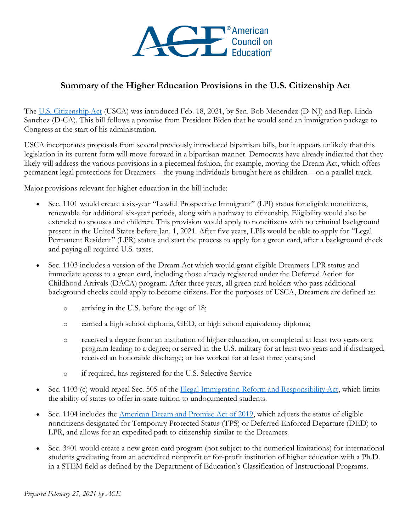

## **Summary of the Higher Education Provisions in the U.S. Citizenship Act**

The [U.S. Citizenship Act](https://www.menendez.senate.gov/newsroom/press/menendez-snchez-introduce-bicameral-us-citizenship-act-of-2021-to-overhaul-american-immigration-system) (USCA) was introduced Feb. 18, 2021, by Sen. Bob Menendez (D-NJ) and Rep. Linda Sanchez (D-CA). This bill follows a promise from President Biden that he would send an immigration package to Congress at the start of his administration.

USCA incorporates proposals from several previously introduced bipartisan bills, but it appears unlikely that this legislation in its current form will move forward in a bipartisan manner. Democrats have already indicated that they likely will address the various provisions in a piecemeal fashion, for example, moving the Dream Act, which offers permanent legal protections for Dreamers—the young individuals brought here as children—on a parallel track.

Major provisions relevant for higher education in the bill include:

- Sec. 1101 would create a six-year "Lawful Prospective Immigrant" (LPI) status for eligible noncitizens, renewable for additional six-year periods, along with a pathway to citizenship. Eligibility would also be extended to spouses and children. This provision would apply to noncitizens with no criminal background present in the United States before Jan. 1, 2021. After five years, LPIs would be able to apply for "Legal Permanent Resident" (LPR) status and start the process to apply for a green card, after a background check and paying all required U.S. taxes.
- Sec. 1103 includes a version of the Dream Act which would grant eligible Dreamers LPR status and immediate access to a green card, including those already registered under the Deferred Action for Childhood Arrivals (DACA) program. After three years, all green card holders who pass additional background checks could apply to become citizens. For the purposes of USCA, Dreamers are defined as:
	- o arriving in the U.S. before the age of 18;
	- o earned a high school diploma, GED, or high school equivalency diploma;
	- o received a degree from an institution of higher education, or completed at least two years or a program leading to a degree; or served in the U.S. military for at least two years and if discharged, received an honorable discharge; or has worked for at least three years; and
	- o if required, has registered for the U.S. Selective Service
- Sec. 1103 (c) would repeal Sec. 505 of the **Illegal Immigration Reform and Responsibility Act**, which limits the ability of states to offer in-state tuition to undocumented students.
- Sec. 1104 includes the [American Dream and Promise Act](https://www.acenet.edu/News-Room/Pages/House-Approves-Dream-Act-Sending-Bill-to-Senate.aspx) of 2019, which adjusts the status of eligible noncitizens designated for Temporary Protected Status (TPS) or Deferred Enforced Departure (DED) to LPR, and allows for an expedited path to citizenship similar to the Dreamers.
- Sec. 3401 would create a new green card program (not subject to the numerical limitations) for international students graduating from an accredited nonprofit or for-profit institution of higher education with a Ph.D. in a STEM field as defined by the Department of Education's Classification of Instructional Programs.